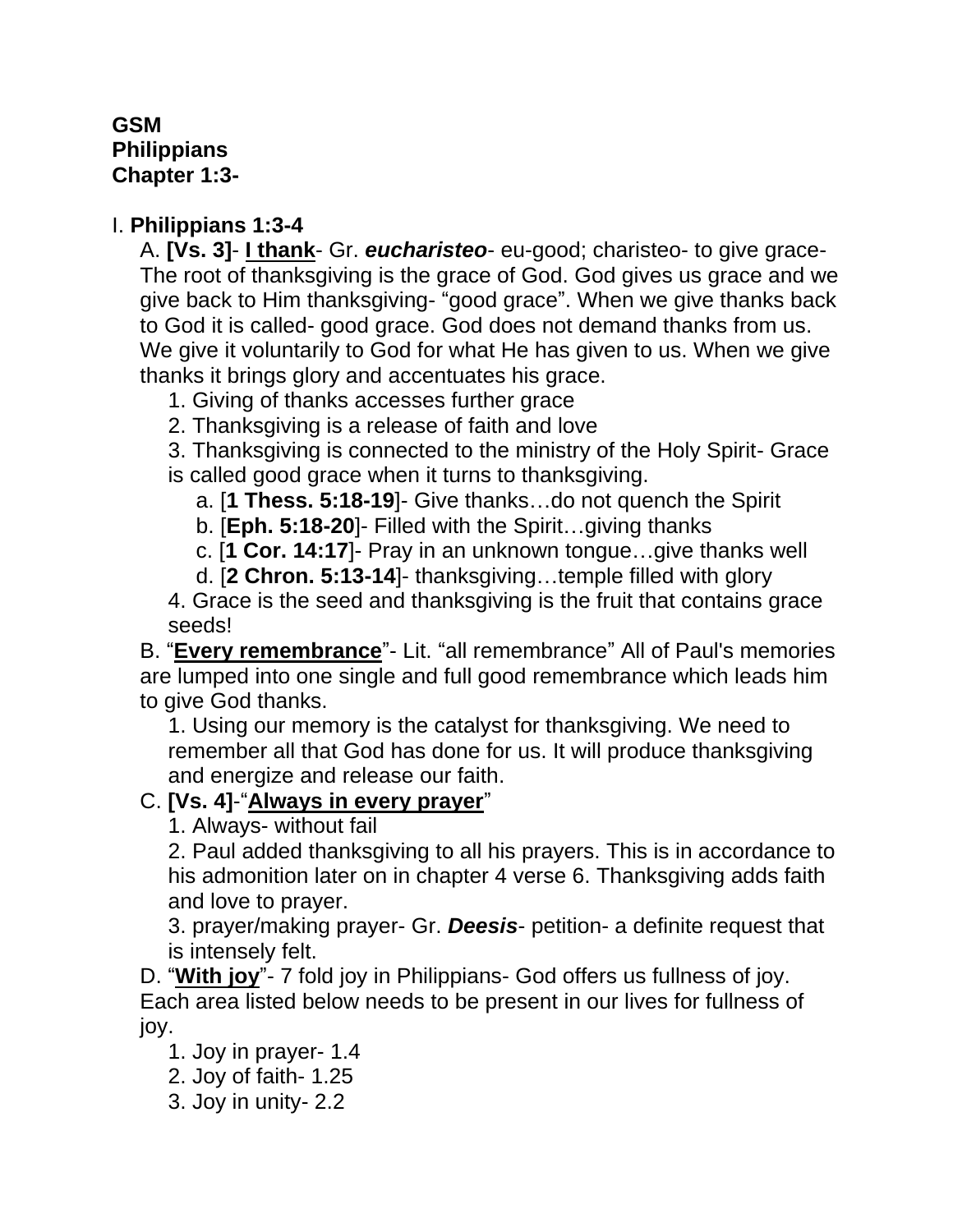## **GSM Philippians Chapter 1:3-**

## I. **Philippians 1:3-4**

A. **[Vs. 3]**- **I thank**- Gr. *eucharisteo*- eu-good; charisteo- to give grace-The root of thanksgiving is the grace of God. God gives us grace and we give back to Him thanksgiving- "good grace". When we give thanks back to God it is called- good grace. God does not demand thanks from us. We give it voluntarily to God for what He has given to us. When we give thanks it brings glory and accentuates his grace.

1. Giving of thanks accesses further grace

2. Thanksgiving is a release of faith and love

3. Thanksgiving is connected to the ministry of the Holy Spirit- Grace is called good grace when it turns to thanksgiving.

a. [**1 Thess. 5:18-19**]- Give thanks…do not quench the Spirit

b. [**Eph. 5:18-20**]- Filled with the Spirit…giving thanks

c. [**1 Cor. 14:17**]- Pray in an unknown tongue…give thanks well

d. [**2 Chron. 5:13-14**]- thanksgiving…temple filled with glory

4. Grace is the seed and thanksgiving is the fruit that contains grace seeds!

B. "**Every remembrance**"- Lit. "all remembrance" All of Paul's memories are lumped into one single and full good remembrance which leads him to give God thanks.

1. Using our memory is the catalyst for thanksgiving. We need to remember all that God has done for us. It will produce thanksgiving and energize and release our faith.

## C. **[Vs. 4]**-"**Always in every prayer**"

1. Always- without fail

2. Paul added thanksgiving to all his prayers. This is in accordance to his admonition later on in chapter 4 verse 6. Thanksgiving adds faith and love to prayer.

3. prayer/making prayer- Gr. *Deesis*- petition- a definite request that is intensely felt.

D. "**With joy**"- 7 fold joy in Philippians- God offers us fullness of joy. Each area listed below needs to be present in our lives for fullness of joy.

1. Joy in prayer- 1.4

2. Joy of faith- 1.25

3. Joy in unity- 2.2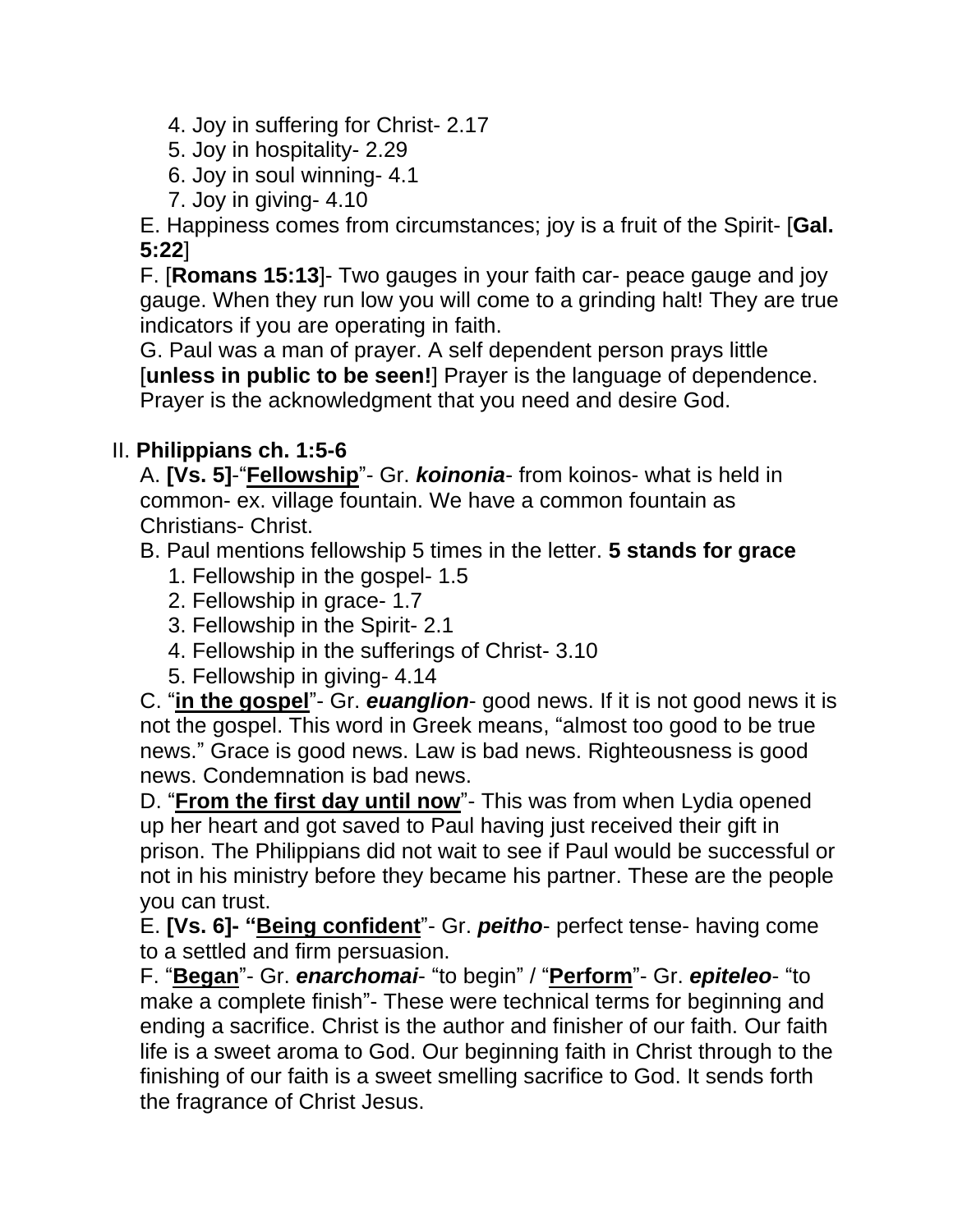4. Joy in suffering for Christ- 2.17

- 5. Joy in hospitality- 2.29
- 6. Joy in soul winning- 4.1
- 7. Joy in giving- 4.10

E. Happiness comes from circumstances; joy is a fruit of the Spirit- [**Gal. 5:22**]

F. [**Romans 15:13**]- Two gauges in your faith car- peace gauge and joy gauge. When they run low you will come to a grinding halt! They are true indicators if you are operating in faith.

G. Paul was a man of prayer. A self dependent person prays little [**unless in public to be seen!**] Prayer is the language of dependence. Prayer is the acknowledgment that you need and desire God.

## II. **Philippians ch. 1:5-6**

A. **[Vs. 5]**-"**Fellowship**"- Gr. *koinonia*- from koinos- what is held in common- ex. village fountain. We have a common fountain as Christians- Christ.

B. Paul mentions fellowship 5 times in the letter. **5 stands for grace**

- 1. Fellowship in the gospel- 1.5
- 2. Fellowship in grace- 1.7
- 3. Fellowship in the Spirit- 2.1
- 4. Fellowship in the sufferings of Christ- 3.10
- 5. Fellowship in giving- 4.14

C. "**in the gospel**"- Gr. *euanglion*- good news. If it is not good news it is not the gospel. This word in Greek means, "almost too good to be true news." Grace is good news. Law is bad news. Righteousness is good news. Condemnation is bad news.

D. "**From the first day until now**"- This was from when Lydia opened up her heart and got saved to Paul having just received their gift in prison. The Philippians did not wait to see if Paul would be successful or not in his ministry before they became his partner. These are the people you can trust.

E. **[Vs. 6]- "Being confident**"- Gr. *peitho*- perfect tense- having come to a settled and firm persuasion.

F. "**Began**"- Gr. *enarchomai*- "to begin" / "**Perform**"- Gr. *epiteleo*- "to make a complete finish"- These were technical terms for beginning and ending a sacrifice. Christ is the author and finisher of our faith. Our faith life is a sweet aroma to God. Our beginning faith in Christ through to the finishing of our faith is a sweet smelling sacrifice to God. It sends forth the fragrance of Christ Jesus.